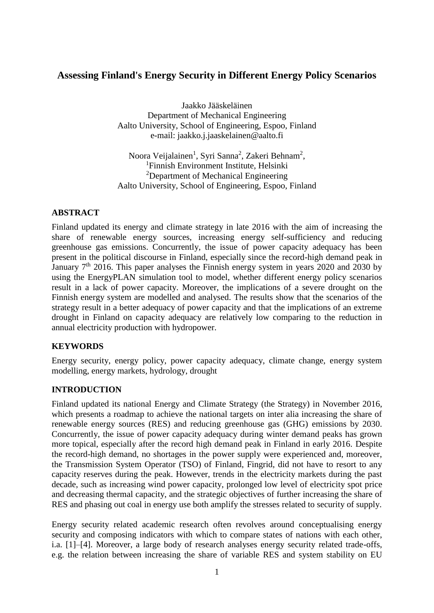# **Assessing Finland's Energy Security in Different Energy Policy Scenarios**

Jaakko Jääskeläinen Department of Mechanical Engineering Aalto University, School of Engineering, Espoo, Finland e-mail: jaakko.j.jaaskelainen@aalto.fi

Noora Veijalainen<sup>1</sup>, Syri Sanna<sup>2</sup>, Zakeri Behnam<sup>2</sup>, <sup>1</sup>Finnish Environment Institute, Helsinki <sup>2</sup>Department of Mechanical Engineering Aalto University, School of Engineering, Espoo, Finland

### **ABSTRACT**

Finland updated its energy and climate strategy in late 2016 with the aim of increasing the share of renewable energy sources, increasing energy self-sufficiency and reducing greenhouse gas emissions. Concurrently, the issue of power capacity adequacy has been present in the political discourse in Finland, especially since the record-high demand peak in January  $7<sup>th</sup>$  2016. This paper analyses the Finnish energy system in years 2020 and 2030 by using the EnergyPLAN simulation tool to model, whether different energy policy scenarios result in a lack of power capacity. Moreover, the implications of a severe drought on the Finnish energy system are modelled and analysed. The results show that the scenarios of the strategy result in a better adequacy of power capacity and that the implications of an extreme drought in Finland on capacity adequacy are relatively low comparing to the reduction in annual electricity production with hydropower.

#### **KEYWORDS**

Energy security, energy policy, power capacity adequacy, climate change, energy system modelling, energy markets, hydrology, drought

#### **INTRODUCTION**

Finland updated its national Energy and Climate Strategy (the Strategy) in November 2016, which presents a roadmap to achieve the national targets on inter alia increasing the share of renewable energy sources (RES) and reducing greenhouse gas (GHG) emissions by 2030. Concurrently, the issue of power capacity adequacy during winter demand peaks has grown more topical, especially after the record high demand peak in Finland in early 2016. Despite the record-high demand, no shortages in the power supply were experienced and, moreover, the Transmission System Operator (TSO) of Finland, Fingrid, did not have to resort to any capacity reserves during the peak. However, trends in the electricity markets during the past decade, such as increasing wind power capacity, prolonged low level of electricity spot price and decreasing thermal capacity, and the strategic objectives of further increasing the share of RES and phasing out coal in energy use both amplify the stresses related to security of supply.

Energy security related academic research often revolves around conceptualising energy security and composing indicators with which to compare states of nations with each other, i.a. [1]–[4]. Moreover, a large body of research analyses energy security related trade-offs, e.g. the relation between increasing the share of variable RES and system stability on EU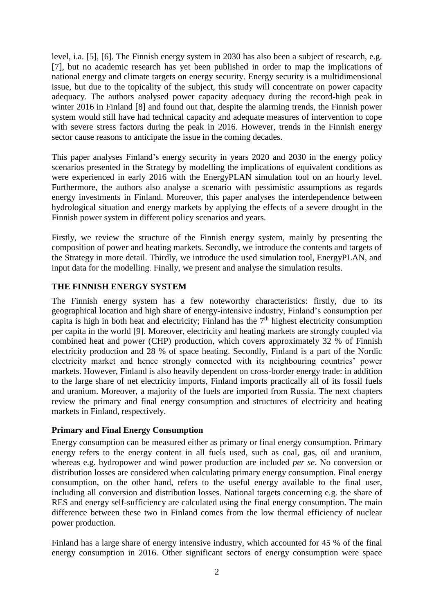level, i.a. [5], [6]. The Finnish energy system in 2030 has also been a subject of research, e.g. [7], but no academic research has yet been published in order to map the implications of national energy and climate targets on energy security. Energy security is a multidimensional issue, but due to the topicality of the subject, this study will concentrate on power capacity adequacy. The authors analysed power capacity adequacy during the record-high peak in winter 2016 in Finland [8] and found out that, despite the alarming trends, the Finnish power system would still have had technical capacity and adequate measures of intervention to cope with severe stress factors during the peak in 2016. However, trends in the Finnish energy sector cause reasons to anticipate the issue in the coming decades.

This paper analyses Finland's energy security in years 2020 and 2030 in the energy policy scenarios presented in the Strategy by modelling the implications of equivalent conditions as were experienced in early 2016 with the EnergyPLAN simulation tool on an hourly level. Furthermore, the authors also analyse a scenario with pessimistic assumptions as regards energy investments in Finland. Moreover, this paper analyses the interdependence between hydrological situation and energy markets by applying the effects of a severe drought in the Finnish power system in different policy scenarios and years.

Firstly, we review the structure of the Finnish energy system, mainly by presenting the composition of power and heating markets. Secondly, we introduce the contents and targets of the Strategy in more detail. Thirdly, we introduce the used simulation tool, EnergyPLAN, and input data for the modelling. Finally, we present and analyse the simulation results.

### **THE FINNISH ENERGY SYSTEM**

The Finnish energy system has a few noteworthy characteristics: firstly, due to its geographical location and high share of energy-intensive industry, Finland's consumption per capita is high in both heat and electricity; Finland has the  $7<sup>th</sup>$  highest electricity consumption per capita in the world [9]. Moreover, electricity and heating markets are strongly coupled via combined heat and power (CHP) production, which covers approximately 32 % of Finnish electricity production and 28 % of space heating. Secondly, Finland is a part of the Nordic electricity market and hence strongly connected with its neighbouring countries' power markets. However, Finland is also heavily dependent on cross-border energy trade: in addition to the large share of net electricity imports, Finland imports practically all of its fossil fuels and uranium. Moreover, a majority of the fuels are imported from Russia. The next chapters review the primary and final energy consumption and structures of electricity and heating markets in Finland, respectively.

#### **Primary and Final Energy Consumption**

Energy consumption can be measured either as primary or final energy consumption. Primary energy refers to the energy content in all fuels used, such as coal, gas, oil and uranium, whereas e.g. hydropower and wind power production are included *per se*. No conversion or distribution losses are considered when calculating primary energy consumption. Final energy consumption, on the other hand, refers to the useful energy available to the final user, including all conversion and distribution losses. National targets concerning e.g. the share of RES and energy self-sufficiency are calculated using the final energy consumption. The main difference between these two in Finland comes from the low thermal efficiency of nuclear power production.

Finland has a large share of energy intensive industry, which accounted for 45 % of the final energy consumption in 2016. Other significant sectors of energy consumption were space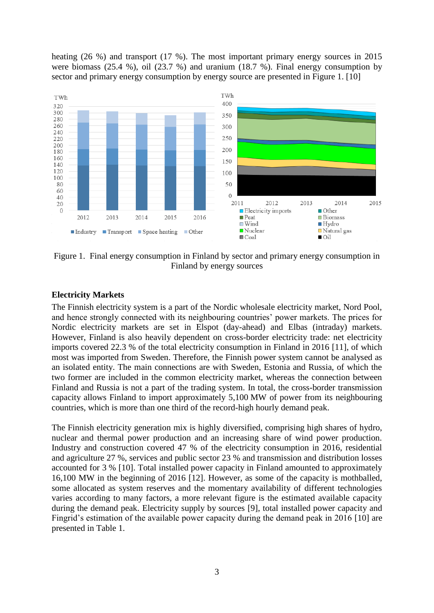heating (26 %) and transport (17 %). The most important primary energy sources in 2015 were biomass (25.4 %), oil (23.7 %) and uranium (18.7 %). Final energy consumption by sector and primary energy consumption by energy source are presented in [Figure 1.](#page-2-0) [10]



<span id="page-2-0"></span>Figure 1. Final energy consumption in Finland by sector and primary energy consumption in Finland by energy sources

### **Electricity Markets**

The Finnish electricity system is a part of the Nordic wholesale electricity market, Nord Pool, and hence strongly connected with its neighbouring countries' power markets. The prices for Nordic electricity markets are set in Elspot (day-ahead) and Elbas (intraday) markets. However, Finland is also heavily dependent on cross-border electricity trade: net electricity imports covered 22.3 % of the total electricity consumption in Finland in 2016 [11], of which most was imported from Sweden. Therefore, the Finnish power system cannot be analysed as an isolated entity. The main connections are with Sweden, Estonia and Russia, of which the two former are included in the common electricity market, whereas the connection between Finland and Russia is not a part of the trading system. In total, the cross-border transmission capacity allows Finland to import approximately 5,100 MW of power from its neighbouring countries, which is more than one third of the record-high hourly demand peak.

The Finnish electricity generation mix is highly diversified, comprising high shares of hydro, nuclear and thermal power production and an increasing share of wind power production. Industry and construction covered 47 % of the electricity consumption in 2016, residential and agriculture 27 %, services and public sector 23 % and transmission and distribution losses accounted for 3 % [10]. Total installed power capacity in Finland amounted to approximately 16,100 MW in the beginning of 2016 [12]. However, as some of the capacity is mothballed, some allocated as system reserves and the momentary availability of different technologies varies according to many factors, a more relevant figure is the estimated available capacity during the demand peak. Electricity supply by sources [9], total installed power capacity and Fingrid's estimation of the available power capacity during the demand peak in 2016 [10] are presented in [Table 1.](#page-3-0)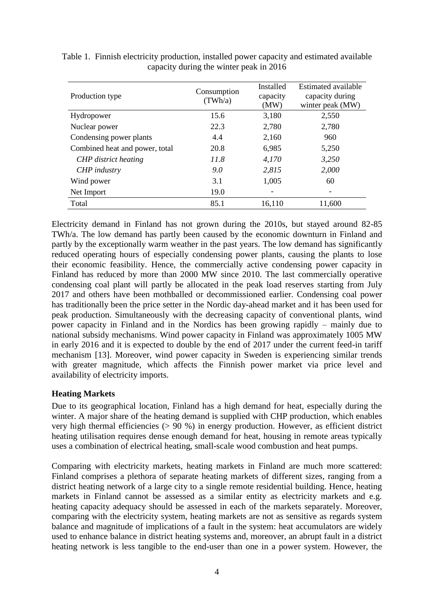| Production type                | Consumption<br>(TWh/a) | Installed<br>capacity<br>(MW) | Estimated available<br>capacity during<br>winter peak (MW) |
|--------------------------------|------------------------|-------------------------------|------------------------------------------------------------|
| Hydropower                     | 15.6                   | 3,180                         | 2,550                                                      |
| Nuclear power                  | 22.3                   | 2,780                         | 2,780                                                      |
| Condensing power plants        | 4.4                    | 2,160                         | 960                                                        |
| Combined heat and power, total | 20.8                   | 6,985                         | 5,250                                                      |
| CHP district heating           | 11.8                   | 4,170                         | 3,250                                                      |
| CHP industry                   | 9.0                    | 2,815                         | 2,000                                                      |
| Wind power                     | 3.1                    | 1,005                         | 60                                                         |
| Net Import                     | 19.0                   |                               |                                                            |
| Total                          | 85.1                   | 16,110                        | 11,600                                                     |

<span id="page-3-0"></span>Table 1. Finnish electricity production, installed power capacity and estimated available capacity during the winter peak in 2016

Electricity demand in Finland has not grown during the 2010s, but stayed around 82-85 TWh/a. The low demand has partly been caused by the economic downturn in Finland and partly by the exceptionally warm weather in the past years. The low demand has significantly reduced operating hours of especially condensing power plants, causing the plants to lose their economic feasibility. Hence, the commercially active condensing power capacity in Finland has reduced by more than 2000 MW since 2010. The last commercially operative condensing coal plant will partly be allocated in the peak load reserves starting from July 2017 and others have been mothballed or decommissioned earlier. Condensing coal power has traditionally been the price setter in the Nordic day-ahead market and it has been used for peak production. Simultaneously with the decreasing capacity of conventional plants, wind power capacity in Finland and in the Nordics has been growing rapidly – mainly due to national subsidy mechanisms. Wind power capacity in Finland was approximately 1005 MW in early 2016 and it is expected to double by the end of 2017 under the current feed-in tariff mechanism [13]. Moreover, wind power capacity in Sweden is experiencing similar trends with greater magnitude, which affects the Finnish power market via price level and availability of electricity imports.

### **Heating Markets**

Due to its geographical location, Finland has a high demand for heat, especially during the winter. A major share of the heating demand is supplied with CHP production, which enables very high thermal efficiencies ( $> 90\%$ ) in energy production. However, as efficient district heating utilisation requires dense enough demand for heat, housing in remote areas typically uses a combination of electrical heating, small-scale wood combustion and heat pumps.

Comparing with electricity markets, heating markets in Finland are much more scattered: Finland comprises a plethora of separate heating markets of different sizes, ranging from a district heating network of a large city to a single remote residential building. Hence, heating markets in Finland cannot be assessed as a similar entity as electricity markets and e.g. heating capacity adequacy should be assessed in each of the markets separately. Moreover, comparing with the electricity system, heating markets are not as sensitive as regards system balance and magnitude of implications of a fault in the system: heat accumulators are widely used to enhance balance in district heating systems and, moreover, an abrupt fault in a district heating network is less tangible to the end-user than one in a power system. However, the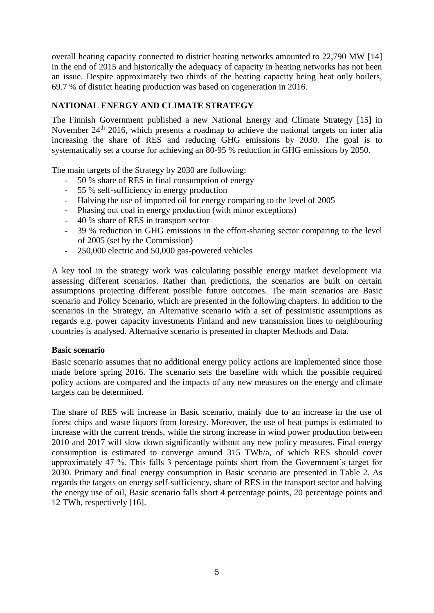overall heating capacity connected to district heating networks amounted to 22,790 MW [14] in the end of 2015 and historically the adequacy of capacity in heating networks has not been an issue. Despite approximately two thirds of the heating capacity being heat only boilers, 69.7 % of district heating production was based on cogeneration in 2016.

### **NATIONAL ENERGY AND CLIMATE STRATEGY**

The Finnish Government published a new National Energy and Climate Strategy [15] in November 24<sup>th</sup> 2016, which presents a roadmap to achieve the national targets on inter alia increasing the share of RES and reducing GHG emissions by 2030. The goal is to systematically set a course for achieving an 80-95 % reduction in GHG emissions by 2050.

The main targets of the Strategy by 2030 are following:

- 50 % share of RES in final consumption of energy
- 55 % self-sufficiency in energy production
- Halving the use of imported oil for energy comparing to the level of 2005
- Phasing out coal in energy production (with minor exceptions)
- 40 % share of RES in transport sector
- 39 % reduction in GHG emissions in the effort-sharing sector comparing to the level of 2005 (set by the Commission)
- 250,000 electric and 50,000 gas-powered vehicles

A key tool in the strategy work was calculating possible energy market development via assessing different scenarios. Rather than predictions, the scenarios are built on certain assumptions projecting different possible future outcomes. The main scenarios are Basic scenario and Policy Scenario, which are presented in the following chapters. In addition to the scenarios in the Strategy, an Alternative scenario with a set of pessimistic assumptions as regards e.g. power capacity investments Finland and new transmission lines to neighbouring countries is analysed. Alternative scenario is presented in chapter Methods and Data.

#### **Basic scenario**

Basic scenario assumes that no additional energy policy actions are implemented since those made before spring 2016. The scenario sets the baseline with which the possible required policy actions are compared and the impacts of any new measures on the energy and climate targets can be determined.

The share of RES will increase in Basic scenario, mainly due to an increase in the use of forest chips and waste liquors from forestry. Moreover, the use of heat pumps is estimated to increase with the current trends, while the strong increase in wind power production between 2010 and 2017 will slow down significantly without any new policy measures. Final energy consumption is estimated to converge around 315 TWh/a, of which RES should cover approximately 47 %. This falls 3 percentage points short from the Government's target for 2030. Primary and final energy consumption in Basic scenario are presented in [Table 2.](#page-5-0) As regards the targets on energy self-sufficiency, share of RES in the transport sector and halving the energy use of oil, Basic scenario falls short 4 percentage points, 20 percentage points and 12 TWh, respectively [16].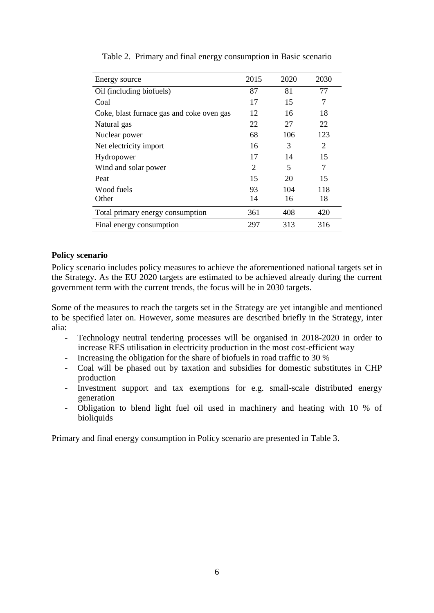<span id="page-5-0"></span>

| Energy source                             | 2015           | 2020 | 2030           |
|-------------------------------------------|----------------|------|----------------|
| Oil (including biofuels)                  | 87             | 81   | 77             |
| Coal                                      | 17             | 15   | 7              |
| Coke, blast furnace gas and coke oven gas | 12             | 16   | 18             |
| Natural gas                               | 22             | 27   | 22             |
| Nuclear power                             | 68             | 106  | 123            |
| Net electricity import                    | 16             | 3    | $\mathfrak{D}$ |
| Hydropower                                | 17             | 14   | 15             |
| Wind and solar power                      | $\overline{2}$ | 5    | 7              |
| Peat                                      | 15             | 20   | 15             |
| Wood fuels                                | 93             | 104  | 118            |
| Other                                     | 14             | 16   | 18             |
| Total primary energy consumption          | 361            | 408  | 420            |
| Final energy consumption                  | 297            | 313  | 316            |

Table 2. Primary and final energy consumption in Basic scenario

### **Policy scenario**

Policy scenario includes policy measures to achieve the aforementioned national targets set in the Strategy. As the EU 2020 targets are estimated to be achieved already during the current government term with the current trends, the focus will be in 2030 targets.

Some of the measures to reach the targets set in the Strategy are yet intangible and mentioned to be specified later on. However, some measures are described briefly in the Strategy, inter alia:

- Technology neutral tendering processes will be organised in 2018-2020 in order to increase RES utilisation in electricity production in the most cost-efficient way
- Increasing the obligation for the share of biofuels in road traffic to 30 %
- Coal will be phased out by taxation and subsidies for domestic substitutes in CHP production
- Investment support and tax exemptions for e.g. small-scale distributed energy generation
- Obligation to blend light fuel oil used in machinery and heating with 10 % of bioliquids

Primary and final energy consumption in Policy scenario are presented in [Table 3.](#page-6-0)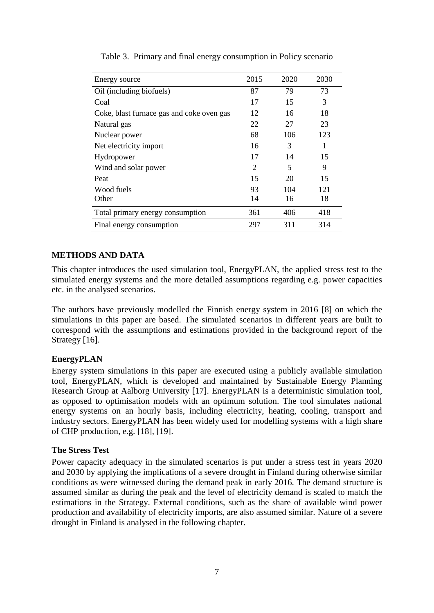<span id="page-6-0"></span>

| Energy source                             | 2015           | 2020 | 2030 |
|-------------------------------------------|----------------|------|------|
| Oil (including biofuels)                  | 87             | 79   | 73   |
| Coal                                      | 17             | 15   | 3    |
| Coke, blast furnace gas and coke oven gas | 12             | 16   | 18   |
| Natural gas                               | 22             | 27   | 23   |
| Nuclear power                             | 68             | 106  | 123  |
| Net electricity import                    | 16             | 3    | 1    |
| Hydropower                                | 17             | 14   | 15   |
| Wind and solar power                      | $\overline{2}$ | 5    | 9    |
| Peat                                      | 15             | 20   | 15   |
| Wood fuels                                | 93             | 104  | 121  |
| Other                                     | 14             | 16   | 18   |
| Total primary energy consumption          | 361            | 406  | 418  |
| Final energy consumption                  | 297            | 311  | 314  |

Table 3. Primary and final energy consumption in Policy scenario

### **METHODS AND DATA**

This chapter introduces the used simulation tool, EnergyPLAN, the applied stress test to the simulated energy systems and the more detailed assumptions regarding e.g. power capacities etc. in the analysed scenarios.

The authors have previously modelled the Finnish energy system in 2016 [8] on which the simulations in this paper are based. The simulated scenarios in different years are built to correspond with the assumptions and estimations provided in the background report of the Strategy [16].

#### **EnergyPLAN**

Energy system simulations in this paper are executed using a publicly available simulation tool, EnergyPLAN, which is developed and maintained by Sustainable Energy Planning Research Group at Aalborg University [17]. EnergyPLAN is a deterministic simulation tool, as opposed to optimisation models with an optimum solution. The tool simulates national energy systems on an hourly basis, including electricity, heating, cooling, transport and industry sectors. EnergyPLAN has been widely used for modelling systems with a high share of CHP production, e.g. [18], [19].

#### **The Stress Test**

Power capacity adequacy in the simulated scenarios is put under a stress test in years 2020 and 2030 by applying the implications of a severe drought in Finland during otherwise similar conditions as were witnessed during the demand peak in early 2016. The demand structure is assumed similar as during the peak and the level of electricity demand is scaled to match the estimations in the Strategy. External conditions, such as the share of available wind power production and availability of electricity imports, are also assumed similar. Nature of a severe drought in Finland is analysed in the following chapter.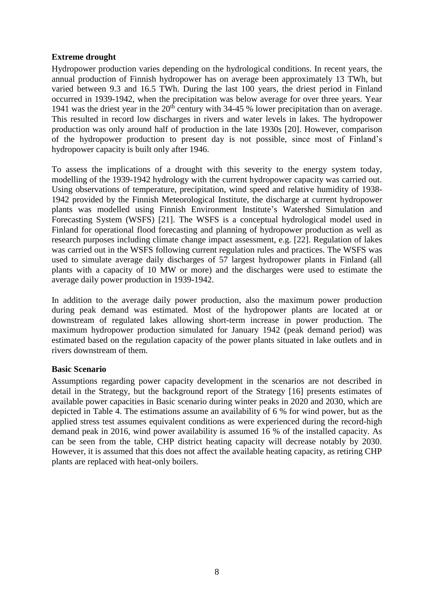### **Extreme drought**

Hydropower production varies depending on the hydrological conditions. In recent years, the annual production of Finnish hydropower has on average been approximately 13 TWh, but varied between 9.3 and 16.5 TWh. During the last 100 years, the driest period in Finland occurred in 1939-1942, when the precipitation was below average for over three years. Year 1941 was the driest year in the  $20<sup>th</sup>$  century with 34-45 % lower precipitation than on average. This resulted in record low discharges in rivers and water levels in lakes. The hydropower production was only around half of production in the late 1930s [20]. However, comparison of the hydropower production to present day is not possible, since most of Finland's hydropower capacity is built only after 1946.

To assess the implications of a drought with this severity to the energy system today, modelling of the 1939-1942 hydrology with the current hydropower capacity was carried out. Using observations of temperature, precipitation, wind speed and relative humidity of 1938- 1942 provided by the Finnish Meteorological Institute, the discharge at current hydropower plants was modelled using Finnish Environment Institute's Watershed Simulation and Forecasting System (WSFS) [21]. The WSFS is a conceptual hydrological model used in Finland for operational flood forecasting and planning of hydropower production as well as research purposes including climate change impact assessment, e.g. [22]. Regulation of lakes was carried out in the WSFS following current regulation rules and practices. The WSFS was used to simulate average daily discharges of 57 largest hydropower plants in Finland (all plants with a capacity of 10 MW or more) and the discharges were used to estimate the average daily power production in 1939-1942.

In addition to the average daily power production, also the maximum power production during peak demand was estimated. Most of the hydropower plants are located at or downstream of regulated lakes allowing short-term increase in power production. The maximum hydropower production simulated for January 1942 (peak demand period) was estimated based on the regulation capacity of the power plants situated in lake outlets and in rivers downstream of them.

#### **Basic Scenario**

Assumptions regarding power capacity development in the scenarios are not described in detail in the Strategy, but the background report of the Strategy [16] presents estimates of available power capacities in Basic scenario during winter peaks in 2020 and 2030, which are depicted in [Table 4.](#page-8-0) The estimations assume an availability of 6 % for wind power, but as the applied stress test assumes equivalent conditions as were experienced during the record-high demand peak in 2016, wind power availability is assumed 16 % of the installed capacity. As can be seen from the table, CHP district heating capacity will decrease notably by 2030. However, it is assumed that this does not affect the available heating capacity, as retiring CHP plants are replaced with heat-only boilers.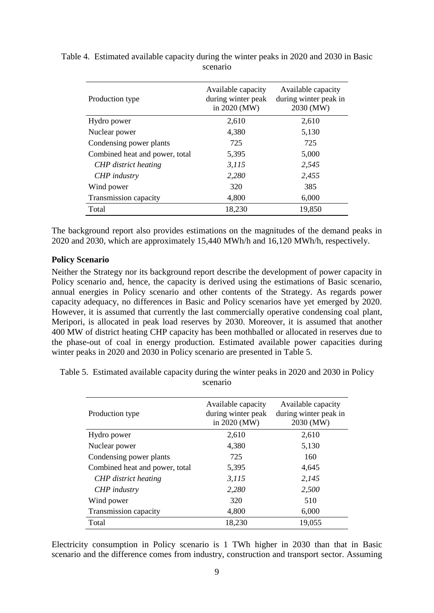| Production type                | Available capacity<br>during winter peak<br>in 2020 (MW) | Available capacity<br>during winter peak in<br>2030 (MW) |
|--------------------------------|----------------------------------------------------------|----------------------------------------------------------|
| Hydro power                    | 2,610                                                    | 2,610                                                    |
| Nuclear power                  | 4,380                                                    | 5,130                                                    |
| Condensing power plants        | 725                                                      | 725                                                      |
| Combined heat and power, total | 5,395                                                    | 5,000                                                    |
| CHP district heating           | 3,115                                                    | 2,545                                                    |
| CHP industry                   | 2,280                                                    | 2,455                                                    |
| Wind power                     | 320                                                      | 385                                                      |
| Transmission capacity          | 4,800                                                    | 6,000                                                    |
| Total                          | 18,230                                                   | 19,850                                                   |

<span id="page-8-0"></span>Table 4. Estimated available capacity during the winter peaks in 2020 and 2030 in Basic scenario

The background report also provides estimations on the magnitudes of the demand peaks in 2020 and 2030, which are approximately 15,440 MWh/h and 16,120 MWh/h, respectively.

#### **Policy Scenario**

Neither the Strategy nor its background report describe the development of power capacity in Policy scenario and, hence, the capacity is derived using the estimations of Basic scenario, annual energies in Policy scenario and other contents of the Strategy. As regards power capacity adequacy, no differences in Basic and Policy scenarios have yet emerged by 2020. However, it is assumed that currently the last commercially operative condensing coal plant, Meripori, is allocated in peak load reserves by 2030. Moreover, it is assumed that another 400 MW of district heating CHP capacity has been mothballed or allocated in reserves due to the phase-out of coal in energy production. Estimated available power capacities during winter peaks in 2020 and 2030 in Policy scenario are presented in [Table 5.](#page-8-1)

<span id="page-8-1"></span>Table 5. Estimated available capacity during the winter peaks in 2020 and 2030 in Policy scenario

| Production type                | Available capacity<br>during winter peak<br>in 2020 (MW) | Available capacity<br>during winter peak in<br>2030 (MW) |
|--------------------------------|----------------------------------------------------------|----------------------------------------------------------|
| Hydro power                    | 2,610                                                    | 2,610                                                    |
| Nuclear power                  | 4,380                                                    | 5,130                                                    |
| Condensing power plants        | 725                                                      | 160                                                      |
| Combined heat and power, total | 5,395                                                    | 4,645                                                    |
| <b>CHP</b> district heating    | 3,115                                                    | 2,145                                                    |
| <b>CHP</b> industry            | 2,280                                                    | 2,500                                                    |
| Wind power                     | 320                                                      | 510                                                      |
| Transmission capacity          | 4,800                                                    | 6,000                                                    |
| Total                          | 18,230                                                   | 19,055                                                   |

Electricity consumption in Policy scenario is 1 TWh higher in 2030 than that in Basic scenario and the difference comes from industry, construction and transport sector. Assuming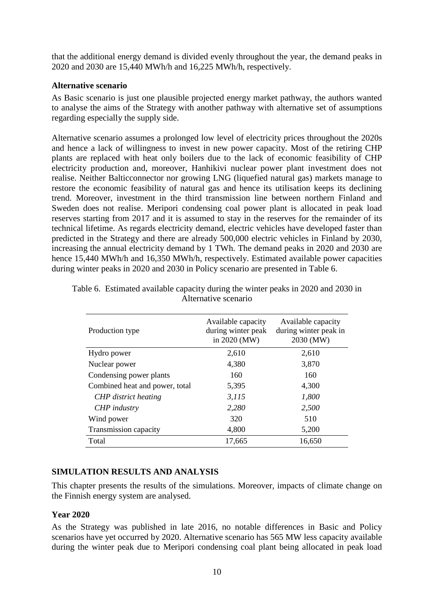that the additional energy demand is divided evenly throughout the year, the demand peaks in 2020 and 2030 are 15,440 MWh/h and 16,225 MWh/h, respectively.

### **Alternative scenario**

As Basic scenario is just one plausible projected energy market pathway, the authors wanted to analyse the aims of the Strategy with another pathway with alternative set of assumptions regarding especially the supply side.

Alternative scenario assumes a prolonged low level of electricity prices throughout the 2020s and hence a lack of willingness to invest in new power capacity. Most of the retiring CHP plants are replaced with heat only boilers due to the lack of economic feasibility of CHP electricity production and, moreover, Hanhikivi nuclear power plant investment does not realise. Neither Balticconnector nor growing LNG (liquefied natural gas) markets manage to restore the economic feasibility of natural gas and hence its utilisation keeps its declining trend. Moreover, investment in the third transmission line between northern Finland and Sweden does not realise. Meripori condensing coal power plant is allocated in peak load reserves starting from 2017 and it is assumed to stay in the reserves for the remainder of its technical lifetime. As regards electricity demand, electric vehicles have developed faster than predicted in the Strategy and there are already 500,000 electric vehicles in Finland by 2030, increasing the annual electricity demand by 1 TWh. The demand peaks in 2020 and 2030 are hence 15,440 MWh/h and 16,350 MWh/h, respectively. Estimated available power capacities during winter peaks in 2020 and 2030 in Policy scenario are presented in [Table 6.](#page-9-0)

| Production type                | Available capacity<br>during winter peak<br>in 2020 (MW) | Available capacity<br>during winter peak in<br>2030 (MW) |
|--------------------------------|----------------------------------------------------------|----------------------------------------------------------|
| Hydro power                    | 2,610                                                    | 2,610                                                    |
| Nuclear power                  | 4,380                                                    | 3,870                                                    |
| Condensing power plants        | 160                                                      | 160                                                      |
| Combined heat and power, total | 5,395                                                    | 4,300                                                    |
| <b>CHP</b> district heating    | 3,115                                                    | 1,800                                                    |
| CHP industry                   | 2,280                                                    | 2,500                                                    |
| Wind power                     | 320                                                      | 510                                                      |
| Transmission capacity          | 4,800                                                    | 5,200                                                    |
| Total                          | 17,665                                                   | 16,650                                                   |

<span id="page-9-0"></span>

| Table 6. Estimated available capacity during the winter peaks in 2020 and 2030 in |
|-----------------------------------------------------------------------------------|
| Alternative scenario                                                              |

#### **SIMULATION RESULTS AND ANALYSIS**

This chapter presents the results of the simulations. Moreover, impacts of climate change on the Finnish energy system are analysed.

#### **Year 2020**

As the Strategy was published in late 2016, no notable differences in Basic and Policy scenarios have yet occurred by 2020. Alternative scenario has 565 MW less capacity available during the winter peak due to Meripori condensing coal plant being allocated in peak load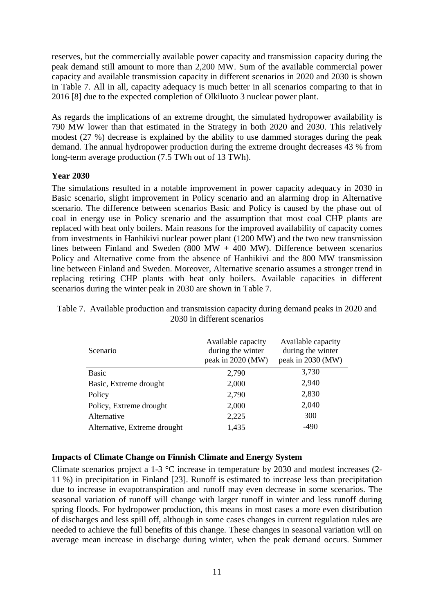reserves, but the commercially available power capacity and transmission capacity during the peak demand still amount to more than 2,200 MW. Sum of the available commercial power capacity and available transmission capacity in different scenarios in 2020 and 2030 is shown in [Table 7.](#page-10-0) All in all, capacity adequacy is much better in all scenarios comparing to that in 2016 [8] due to the expected completion of Olkiluoto 3 nuclear power plant.

As regards the implications of an extreme drought, the simulated hydropower availability is 790 MW lower than that estimated in the Strategy in both 2020 and 2030. This relatively modest (27 %) decrease is explained by the ability to use dammed storages during the peak demand. The annual hydropower production during the extreme drought decreases 43 % from long-term average production (7.5 TWh out of 13 TWh).

### **Year 2030**

The simulations resulted in a notable improvement in power capacity adequacy in 2030 in Basic scenario, slight improvement in Policy scenario and an alarming drop in Alternative scenario. The difference between scenarios Basic and Policy is caused by the phase out of coal in energy use in Policy scenario and the assumption that most coal CHP plants are replaced with heat only boilers. Main reasons for the improved availability of capacity comes from investments in Hanhikivi nuclear power plant (1200 MW) and the two new transmission lines between Finland and Sweden  $(800 \text{ MW} + 400 \text{ MW})$ . Difference between scenarios Policy and Alternative come from the absence of Hanhikivi and the 800 MW transmission line between Finland and Sweden. Moreover, Alternative scenario assumes a stronger trend in replacing retiring CHP plants with heat only boilers. Available capacities in different scenarios during the winter peak in 2030 are shown in [Table 7.](#page-10-0)

| Scenario                     | Available capacity<br>during the winter<br>peak in 2020 (MW) | Available capacity<br>during the winter<br>peak in 2030 (MW) |
|------------------------------|--------------------------------------------------------------|--------------------------------------------------------------|
| Basic                        | 2,790                                                        | 3,730                                                        |
| Basic, Extreme drought       | 2,000                                                        | 2,940                                                        |
| Policy                       | 2,790                                                        | 2,830                                                        |
| Policy, Extreme drought      | 2,000                                                        | 2,040                                                        |
| Alternative                  | 2,225                                                        | 300                                                          |
| Alternative, Extreme drought | 1,435                                                        | -490                                                         |

<span id="page-10-0"></span>Table 7. Available production and transmission capacity during demand peaks in 2020 and 2030 in different scenarios

### **Impacts of Climate Change on Finnish Climate and Energy System**

Climate scenarios project a 1-3 °C increase in temperature by 2030 and modest increases (2- 11 %) in precipitation in Finland [23]. Runoff is estimated to increase less than precipitation due to increase in evapotranspiration and runoff may even decrease in some scenarios. The seasonal variation of runoff will change with larger runoff in winter and less runoff during spring floods. For hydropower production, this means in most cases a more even distribution of discharges and less spill off, although in some cases changes in current regulation rules are needed to achieve the full benefits of this change. These changes in seasonal variation will on average mean increase in discharge during winter, when the peak demand occurs. Summer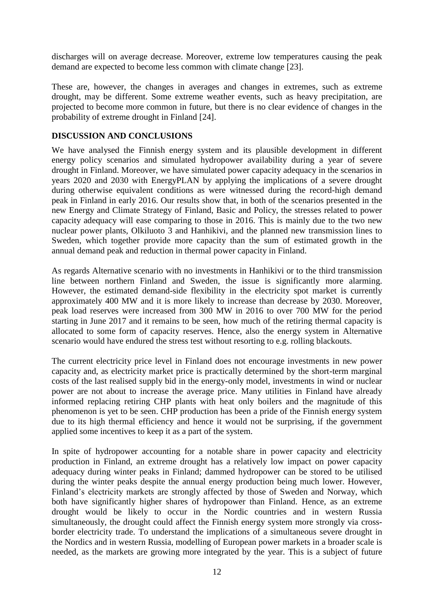discharges will on average decrease. Moreover, extreme low temperatures causing the peak demand are expected to become less common with climate change [23].

These are, however, the changes in averages and changes in extremes, such as extreme drought, may be different. Some extreme weather events, such as heavy precipitation, are projected to become more common in future, but there is no clear evidence of changes in the probability of extreme drought in Finland [24].

### **DISCUSSION AND CONCLUSIONS**

We have analysed the Finnish energy system and its plausible development in different energy policy scenarios and simulated hydropower availability during a year of severe drought in Finland. Moreover, we have simulated power capacity adequacy in the scenarios in years 2020 and 2030 with EnergyPLAN by applying the implications of a severe drought during otherwise equivalent conditions as were witnessed during the record-high demand peak in Finland in early 2016. Our results show that, in both of the scenarios presented in the new Energy and Climate Strategy of Finland, Basic and Policy, the stresses related to power capacity adequacy will ease comparing to those in 2016. This is mainly due to the two new nuclear power plants, Olkiluoto 3 and Hanhikivi, and the planned new transmission lines to Sweden, which together provide more capacity than the sum of estimated growth in the annual demand peak and reduction in thermal power capacity in Finland.

As regards Alternative scenario with no investments in Hanhikivi or to the third transmission line between northern Finland and Sweden, the issue is significantly more alarming. However, the estimated demand-side flexibility in the electricity spot market is currently approximately 400 MW and it is more likely to increase than decrease by 2030. Moreover, peak load reserves were increased from 300 MW in 2016 to over 700 MW for the period starting in June 2017 and it remains to be seen, how much of the retiring thermal capacity is allocated to some form of capacity reserves. Hence, also the energy system in Alternative scenario would have endured the stress test without resorting to e.g. rolling blackouts.

The current electricity price level in Finland does not encourage investments in new power capacity and, as electricity market price is practically determined by the short-term marginal costs of the last realised supply bid in the energy-only model, investments in wind or nuclear power are not about to increase the average price. Many utilities in Finland have already informed replacing retiring CHP plants with heat only boilers and the magnitude of this phenomenon is yet to be seen. CHP production has been a pride of the Finnish energy system due to its high thermal efficiency and hence it would not be surprising, if the government applied some incentives to keep it as a part of the system.

In spite of hydropower accounting for a notable share in power capacity and electricity production in Finland, an extreme drought has a relatively low impact on power capacity adequacy during winter peaks in Finland; dammed hydropower can be stored to be utilised during the winter peaks despite the annual energy production being much lower. However, Finland's electricity markets are strongly affected by those of Sweden and Norway, which both have significantly higher shares of hydropower than Finland. Hence, as an extreme drought would be likely to occur in the Nordic countries and in western Russia simultaneously, the drought could affect the Finnish energy system more strongly via crossborder electricity trade. To understand the implications of a simultaneous severe drought in the Nordics and in western Russia, modelling of European power markets in a broader scale is needed, as the markets are growing more integrated by the year. This is a subject of future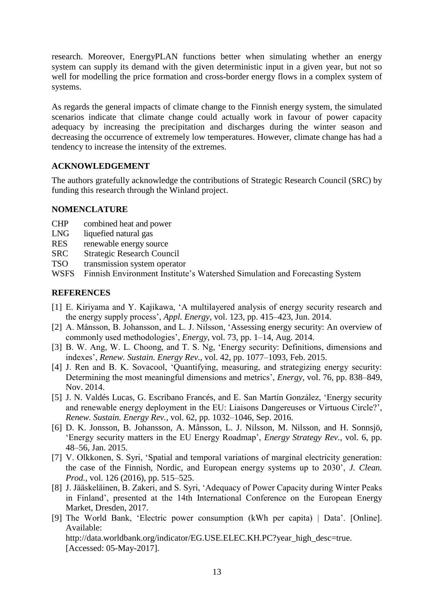research. Moreover, EnergyPLAN functions better when simulating whether an energy system can supply its demand with the given deterministic input in a given year, but not so well for modelling the price formation and cross-border energy flows in a complex system of systems.

As regards the general impacts of climate change to the Finnish energy system, the simulated scenarios indicate that climate change could actually work in favour of power capacity adequacy by increasing the precipitation and discharges during the winter season and decreasing the occurrence of extremely low temperatures. However, climate change has had a tendency to increase the intensity of the extremes.

### **ACKNOWLEDGEMENT**

The authors gratefully acknowledge the contributions of Strategic Research Council (SRC) by funding this research through the Winland project.

#### **NOMENCLATURE**

- CHP combined heat and power
- LNG liquefied natural gas
- RES renewable energy source
- SRC Strategic Research Council
- TSO transmission system operator
- WSFS Finnish Environment Institute's Watershed Simulation and Forecasting System

## **REFERENCES**

- [1] E. Kiriyama and Y. Kajikawa, 'A multilayered analysis of energy security research and the energy supply process', *Appl. Energy*, vol. 123, pp. 415–423, Jun. 2014.
- [2] A. Månsson, B. Johansson, and L. J. Nilsson, 'Assessing energy security: An overview of commonly used methodologies', *Energy*, vol. 73, pp. 1–14, Aug. 2014.
- [3] B. W. Ang, W. L. Choong, and T. S. Ng, 'Energy security: Definitions, dimensions and indexes', *Renew. Sustain. Energy Rev.*, vol. 42, pp. 1077–1093, Feb. 2015.
- [4] J. Ren and B. K. Sovacool, 'Quantifying, measuring, and strategizing energy security: Determining the most meaningful dimensions and metrics', *Energy*, vol. 76, pp. 838–849, Nov. 2014.
- [5] J. N. Valdés Lucas, G. Escribano Francés, and E. San Martín González, 'Energy security and renewable energy deployment in the EU: Liaisons Dangereuses or Virtuous Circle?', *Renew. Sustain. Energy Rev.*, vol. 62, pp. 1032–1046, Sep. 2016.
- [6] D. K. Jonsson, B. Johansson, A. Månsson, L. J. Nilsson, M. Nilsson, and H. Sonnsjö, 'Energy security matters in the EU Energy Roadmap', *Energy Strategy Rev.*, vol. 6, pp. 48–56, Jan. 2015.
- [7] V. Olkkonen, S. Syri, 'Spatial and temporal variations of marginal electricity generation: the case of the Finnish, Nordic, and European energy systems up to 2030', *J. Clean. Prod.*, vol. 126 (2016), pp. 515–525.
- [8] J. Jääskeläinen, B. Zakeri, and S. Syri, 'Adequacy of Power Capacity during Winter Peaks in Finland', presented at the 14th International Conference on the European Energy Market, Dresden, 2017.
- [9] The World Bank, 'Electric power consumption (kWh per capita) | Data'. [Online]. Available: http://data.worldbank.org/indicator/EG.USE.ELEC.KH.PC?year\_high\_desc=true. [Accessed: 05-May-2017].